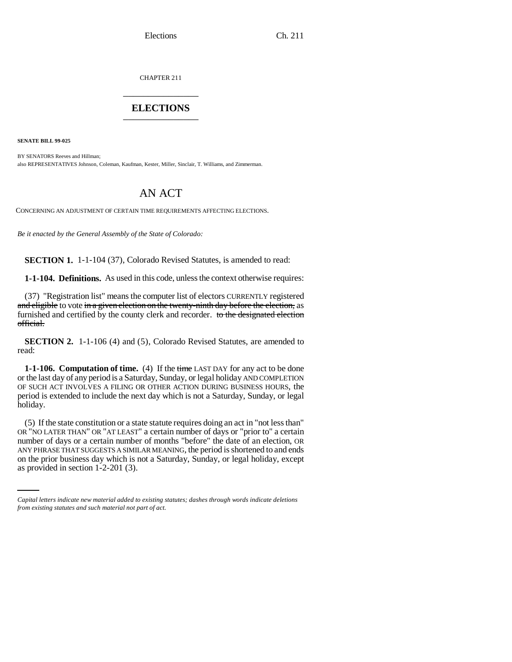CHAPTER 211 \_\_\_\_\_\_\_\_\_\_\_\_\_\_\_

# **ELECTIONS** \_\_\_\_\_\_\_\_\_\_\_\_\_\_\_

**SENATE BILL 99-025** 

BY SENATORS Reeves and Hillman; also REPRESENTATIVES Johnson, Coleman, Kaufman, Kester, Miller, Sinclair, T. Williams, and Zimmerman.

# AN ACT

CONCERNING AN ADJUSTMENT OF CERTAIN TIME REQUIREMENTS AFFECTING ELECTIONS.

*Be it enacted by the General Assembly of the State of Colorado:*

**SECTION 1.** 1-1-104 (37), Colorado Revised Statutes, is amended to read:

**1-1-104. Definitions.** As used in this code, unless the context otherwise requires:

(37) "Registration list" means the computer list of electors CURRENTLY registered and eligible to vote in a given election on the twenty-ninth day before the election, as furnished and certified by the county clerk and recorder. to the designated election official.

**SECTION 2.** 1-1-106 (4) and (5), Colorado Revised Statutes, are amended to read:

**1-1-106. Computation of time.** (4) If the time LAST DAY for any act to be done or the last day of any period is a Saturday, Sunday, or legal holiday AND COMPLETION OF SUCH ACT INVOLVES A FILING OR OTHER ACTION DURING BUSINESS HOURS, the period is extended to include the next day which is not a Saturday, Sunday, or legal holiday.

ANY PHRASE THAT SUGGESTS A SIMILAR MEANING, the period is shortened to and ends (5) If the state constitution or a state statute requires doing an act in "not less than" OR "NO LATER THAN" OR "AT LEAST" a certain number of days or "prior to" a certain number of days or a certain number of months "before" the date of an election, OR on the prior business day which is not a Saturday, Sunday, or legal holiday, except as provided in section 1-2-201 (3).

*Capital letters indicate new material added to existing statutes; dashes through words indicate deletions from existing statutes and such material not part of act.*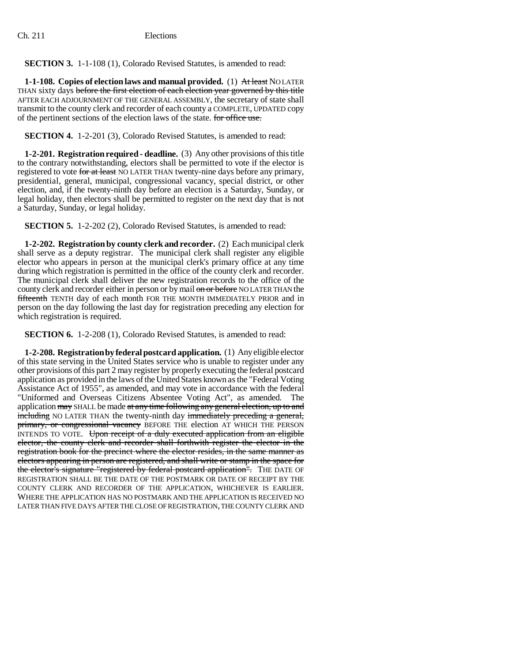**SECTION 3.** 1-1-108 (1), Colorado Revised Statutes, is amended to read:

**1-1-108.** Copies of election laws and manual provided. (1) At least NOLATER THAN sixty days before the first election of each election year governed by this title AFTER EACH ADJOURNMENT OF THE GENERAL ASSEMBLY, the secretary of state shall transmit to the county clerk and recorder of each county a COMPLETE, UPDATED copy of the pertinent sections of the election laws of the state. for office use.

**SECTION 4.** 1-2-201 (3), Colorado Revised Statutes, is amended to read:

**1-2-201. Registration required - deadline.** (3) Any other provisions of this title to the contrary notwithstanding, electors shall be permitted to vote if the elector is registered to vote for at least NO LATER THAN twenty-nine days before any primary, presidential, general, municipal, congressional vacancy, special district, or other election, and, if the twenty-ninth day before an election is a Saturday, Sunday, or legal holiday, then electors shall be permitted to register on the next day that is not a Saturday, Sunday, or legal holiday.

**SECTION 5.** 1-2-202 (2), Colorado Revised Statutes, is amended to read:

**1-2-202. Registration by county clerk and recorder.** (2) Each municipal clerk shall serve as a deputy registrar. The municipal clerk shall register any eligible elector who appears in person at the municipal clerk's primary office at any time during which registration is permitted in the office of the county clerk and recorder. The municipal clerk shall deliver the new registration records to the office of the county clerk and recorder either in person or by mail on or before NO LATER THAN the fifteenth TENTH day of each month FOR THE MONTH IMMEDIATELY PRIOR and in person on the day following the last day for registration preceding any election for which registration is required.

**SECTION 6.** 1-2-208 (1), Colorado Revised Statutes, is amended to read:

**1-2-208. Registration by federal postcard application.** (1) Any eligible elector of this state serving in the United States service who is unable to register under any other provisions of this part 2 may register by properly executing the federal postcard application as provided in the laws of the United States known as the "Federal Voting Assistance Act of 1955", as amended, and may vote in accordance with the federal "Uniformed and Overseas Citizens Absentee Voting Act", as amended. The application may SHALL be made at any time following any general election, up to and including NO LATER THAN the twenty-ninth day immediately preceding a general, primary, or congressional vacancy BEFORE THE election AT WHICH THE PERSON INTENDS TO VOTE. Upon receipt of a duly executed application from an eligible elector, the county clerk and recorder shall forthwith register the elector in the registration book for the precinct where the elector resides, in the same manner as electors appearing in person are registered, and shall write or stamp in the space for the elector's signature "registered by federal postcard application". THE DATE OF REGISTRATION SHALL BE THE DATE OF THE POSTMARK OR DATE OF RECEIPT BY THE COUNTY CLERK AND RECORDER OF THE APPLICATION, WHICHEVER IS EARLIER. WHERE THE APPLICATION HAS NO POSTMARK AND THE APPLICATION IS RECEIVED NO LATER THAN FIVE DAYS AFTER THE CLOSE OF REGISTRATION, THE COUNTY CLERK AND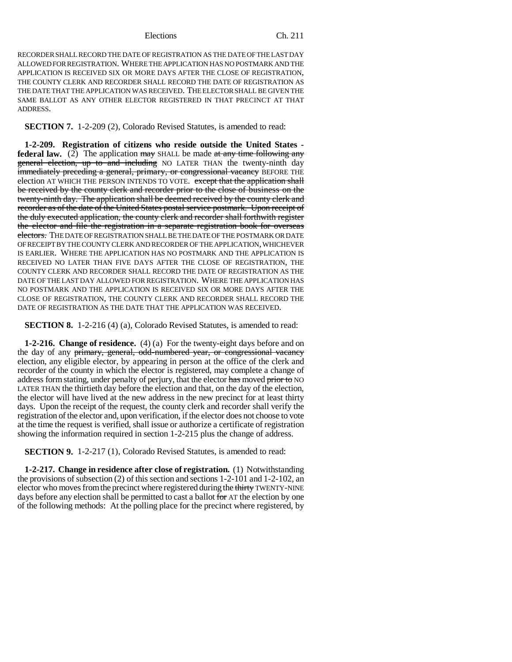RECORDER SHALL RECORD THE DATE OF REGISTRATION AS THE DATE OF THE LAST DAY ALLOWED FOR REGISTRATION. WHERE THE APPLICATION HAS NO POSTMARK AND THE APPLICATION IS RECEIVED SIX OR MORE DAYS AFTER THE CLOSE OF REGISTRATION, THE COUNTY CLERK AND RECORDER SHALL RECORD THE DATE OF REGISTRATION AS THE DATE THAT THE APPLICATION WAS RECEIVED. THE ELECTOR SHALL BE GIVEN THE SAME BALLOT AS ANY OTHER ELECTOR REGISTERED IN THAT PRECINCT AT THAT **ADDRESS** 

**SECTION 7.** 1-2-209 (2), Colorado Revised Statutes, is amended to read:

**1-2-209. Registration of citizens who reside outside the United States federal law.** (2) The application may SHALL be made at any time following any general election, up to and including NO LATER THAN the twenty-ninth day immediately preceding a general, primary, or congressional vacancy BEFORE THE election AT WHICH THE PERSON INTENDS TO VOTE. except that the application shall be received by the county clerk and recorder prior to the close of business on the twenty-ninth day. The application shall be deemed received by the county clerk and recorder as of the date of the United States postal service postmark. Upon receipt of the duly executed application, the county clerk and recorder shall forthwith register the elector and file the registration in a separate registration book for overseas electors. THE DATE OF REGISTRATION SHALL BE THE DATE OF THE POSTMARK OR DATE OF RECEIPT BY THE COUNTY CLERK AND RECORDER OF THE APPLICATION, WHICHEVER IS EARLIER. WHERE THE APPLICATION HAS NO POSTMARK AND THE APPLICATION IS RECEIVED NO LATER THAN FIVE DAYS AFTER THE CLOSE OF REGISTRATION, THE COUNTY CLERK AND RECORDER SHALL RECORD THE DATE OF REGISTRATION AS THE DATE OF THE LAST DAY ALLOWED FOR REGISTRATION. WHERE THE APPLICATION HAS NO POSTMARK AND THE APPLICATION IS RECEIVED SIX OR MORE DAYS AFTER THE CLOSE OF REGISTRATION, THE COUNTY CLERK AND RECORDER SHALL RECORD THE DATE OF REGISTRATION AS THE DATE THAT THE APPLICATION WAS RECEIVED.

**SECTION 8.** 1-2-216 (4) (a), Colorado Revised Statutes, is amended to read:

**1-2-216. Change of residence.** (4) (a) For the twenty-eight days before and on the day of any primary, general, odd-numbered year, or congressional vacancy election, any eligible elector, by appearing in person at the office of the clerk and recorder of the county in which the elector is registered, may complete a change of address form stating, under penalty of perjury, that the elector has moved prior to NO LATER THAN the thirtieth day before the election and that, on the day of the election, the elector will have lived at the new address in the new precinct for at least thirty days. Upon the receipt of the request, the county clerk and recorder shall verify the registration of the elector and, upon verification, if the elector does not choose to vote at the time the request is verified, shall issue or authorize a certificate of registration showing the information required in section 1-2-215 plus the change of address.

**SECTION 9.** 1-2-217 (1), Colorado Revised Statutes, is amended to read:

**1-2-217. Change in residence after close of registration.** (1) Notwithstanding the provisions of subsection (2) of this section and sections 1-2-101 and 1-2-102, an elector who moves from the precinct where registered during the thirty TWENTY-NINE days before any election shall be permitted to cast a ballot for AT the election by one of the following methods: At the polling place for the precinct where registered, by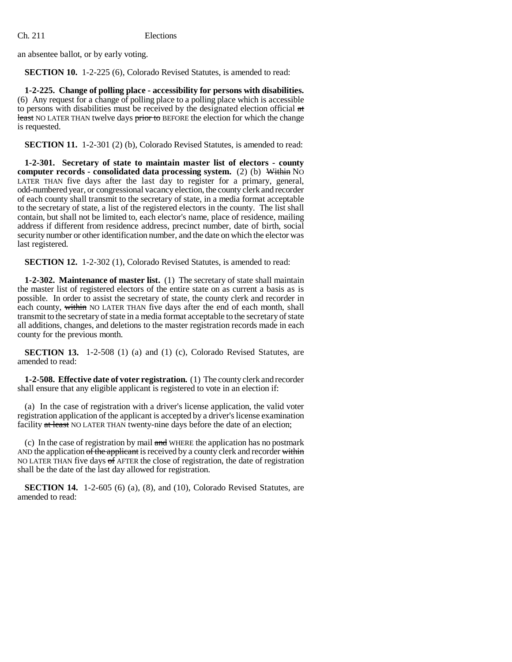an absentee ballot, or by early voting.

**SECTION 10.** 1-2-225 (6), Colorado Revised Statutes, is amended to read:

**1-2-225. Change of polling place - accessibility for persons with disabilities.** (6) Any request for a change of polling place to a polling place which is accessible to persons with disabilities must be received by the designated election official at least NO LATER THAN twelve days prior to BEFORE the election for which the change is requested.

**SECTION 11.** 1-2-301 (2) (b), Colorado Revised Statutes, is amended to read:

**1-2-301. Secretary of state to maintain master list of electors - county computer records - consolidated data processing system.** (2) (b) Within NO LATER THAN five days after the last day to register for a primary, general, odd-numbered year, or congressional vacancy election, the county clerk and recorder of each county shall transmit to the secretary of state, in a media format acceptable to the secretary of state, a list of the registered electors in the county. The list shall contain, but shall not be limited to, each elector's name, place of residence, mailing address if different from residence address, precinct number, date of birth, social security number or other identification number, and the date on which the elector was last registered.

**SECTION 12.** 1-2-302 (1), Colorado Revised Statutes, is amended to read:

**1-2-302. Maintenance of master list.** (1) The secretary of state shall maintain the master list of registered electors of the entire state on as current a basis as is possible. In order to assist the secretary of state, the county clerk and recorder in each county, within NO LATER THAN five days after the end of each month, shall transmit to the secretary of state in a media format acceptable to the secretary of state all additions, changes, and deletions to the master registration records made in each county for the previous month.

**SECTION 13.** 1-2-508 (1) (a) and (1) (c), Colorado Revised Statutes, are amended to read:

**1-2-508. Effective date of voter registration.** (1) The county clerk and recorder shall ensure that any eligible applicant is registered to vote in an election if:

(a) In the case of registration with a driver's license application, the valid voter registration application of the applicant is accepted by a driver's license examination facility at least NO LATER THAN twenty-nine days before the date of an election;

(c) In the case of registration by mail and WHERE the application has no postmark AND the application of the applicant is received by a county clerk and recorder within NO LATER THAN five days  $\Theta$  affer the close of registration, the date of registration shall be the date of the last day allowed for registration.

**SECTION 14.** 1-2-605 (6) (a), (8), and (10), Colorado Revised Statutes, are amended to read: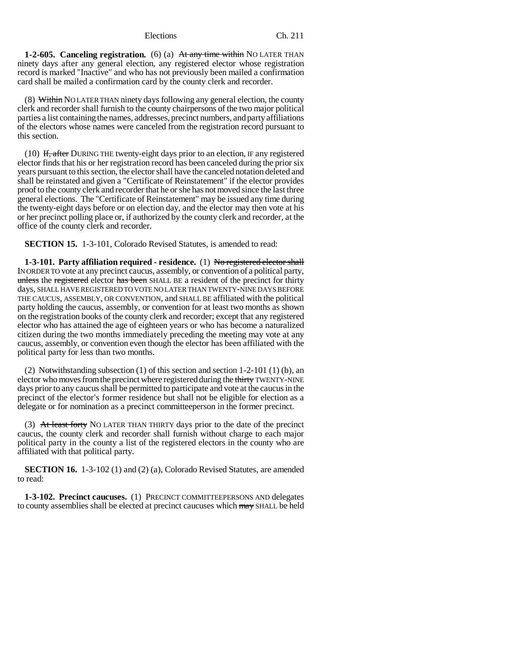**1-2-605. Canceling registration.** (6) (a) At any time within NO LATER THAN ninety days after any general election, any registered elector whose registration record is marked "Inactive" and who has not previously been mailed a confirmation card shall be mailed a confirmation card by the county clerk and recorder.

(8) Within NO LATER THAN ninety days following any general election, the county clerk and recorder shall furnish to the county chairpersons of the two major political parties a list containing the names, addresses, precinct numbers, and party affiliations of the electors whose names were canceled from the registration record pursuant to this section.

(10) If, after DURING THE twenty-eight days prior to an election, IF any registered elector finds that his or her registration record has been canceled during the prior six years pursuant to this section, the elector shall have the canceled notation deleted and shall be reinstated and given a "Certificate of Reinstatement" if the elector provides proof to the county clerk and recorder that he or she has not moved since the last three general elections. The "Certificate of Reinstatement" may be issued any time during the twenty-eight days before or on election day, and the elector may then vote at his or her precinct polling place or, if authorized by the county clerk and recorder, at the office of the county clerk and recorder.

**SECTION 15.** 1-3-101, Colorado Revised Statutes, is amended to read:

**1-3-101. Party affiliation required - residence.** (1) No registered elector shall IN ORDER TO vote at any precinct caucus, assembly, or convention of a political party, unless the registered elector has been SHALL BE a resident of the precinct for thirty days, SHALL HAVE REGISTERED TO VOTE NO LATER THAN TWENTY-NINE DAYS BEFORE THE CAUCUS, ASSEMBLY, OR CONVENTION, and SHALL BE affiliated with the political party holding the caucus, assembly, or convention for at least two months as shown on the registration books of the county clerk and recorder; except that any registered elector who has attained the age of eighteen years or who has become a naturalized citizen during the two months immediately preceding the meeting may vote at any caucus, assembly, or convention even though the elector has been affiliated with the political party for less than two months.

(2) Notwithstanding subsection (1) of this section and section 1-2-101 (1) (b), an elector who moves from the precinct where registered during the thirty TWENTY-NINE days prior to any caucus shall be permitted to participate and vote at the caucus in the precinct of the elector's former residence but shall not be eligible for election as a delegate or for nomination as a precinct committeeperson in the former precinct.

(3) At least forty NO LATER THAN THIRTY days prior to the date of the precinct caucus, the county clerk and recorder shall furnish without charge to each major political party in the county a list of the registered electors in the county who are affiliated with that political party.

**SECTION 16.** 1-3-102 (1) and (2) (a), Colorado Revised Statutes, are amended to read:

**1-3-102. Precinct caucuses.** (1) PRECINCT COMMITTEEPERSONS AND delegates to county assemblies shall be elected at precinct caucuses which may SHALL be held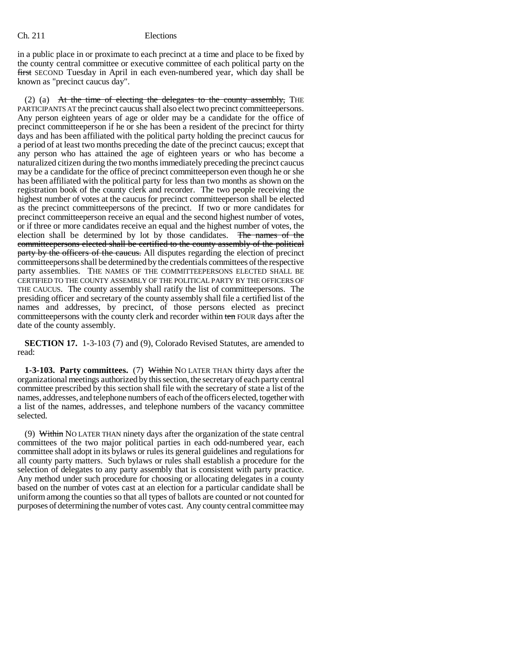in a public place in or proximate to each precinct at a time and place to be fixed by the county central committee or executive committee of each political party on the first SECOND Tuesday in April in each even-numbered year, which day shall be known as "precinct caucus day".

(2) (a) At the time of electing the delegates to the county assembly, THE PARTICIPANTS AT the precinct caucus shall also elect two precinct committeepersons. Any person eighteen years of age or older may be a candidate for the office of precinct committeeperson if he or she has been a resident of the precinct for thirty days and has been affiliated with the political party holding the precinct caucus for a period of at least two months preceding the date of the precinct caucus; except that any person who has attained the age of eighteen years or who has become a naturalized citizen during the two months immediately preceding the precinct caucus may be a candidate for the office of precinct committeeperson even though he or she has been affiliated with the political party for less than two months as shown on the registration book of the county clerk and recorder. The two people receiving the highest number of votes at the caucus for precinct committeeperson shall be elected as the precinct committeepersons of the precinct. If two or more candidates for precinct committeeperson receive an equal and the second highest number of votes, or if three or more candidates receive an equal and the highest number of votes, the election shall be determined by lot by those candidates. The names of the committeepersons elected shall be certified to the county assembly of the political party by the officers of the caucus. All disputes regarding the election of precinct committeepersons shall be determined by the credentials committees of the respective party assemblies. THE NAMES OF THE COMMITTEEPERSONS ELECTED SHALL BE CERTIFIED TO THE COUNTY ASSEMBLY OF THE POLITICAL PARTY BY THE OFFICERS OF THE CAUCUS. The county assembly shall ratify the list of committeepersons. The presiding officer and secretary of the county assembly shall file a certified list of the names and addresses, by precinct, of those persons elected as precinct committeepersons with the county clerk and recorder within ten FOUR days after the date of the county assembly.

**SECTION 17.** 1-3-103 (7) and (9), Colorado Revised Statutes, are amended to read:

**1-3-103. Party committees.** (7) Within NO LATER THAN thirty days after the organizational meetings authorized by this section, the secretary of each party central committee prescribed by this section shall file with the secretary of state a list of the names, addresses, and telephone numbers of each of the officers elected, together with a list of the names, addresses, and telephone numbers of the vacancy committee selected.

(9) Within NO LATER THAN ninety days after the organization of the state central committees of the two major political parties in each odd-numbered year, each committee shall adopt in its bylaws or rules its general guidelines and regulations for all county party matters. Such bylaws or rules shall establish a procedure for the selection of delegates to any party assembly that is consistent with party practice. Any method under such procedure for choosing or allocating delegates in a county based on the number of votes cast at an election for a particular candidate shall be uniform among the counties so that all types of ballots are counted or not counted for purposes of determining the number of votes cast. Any county central committee may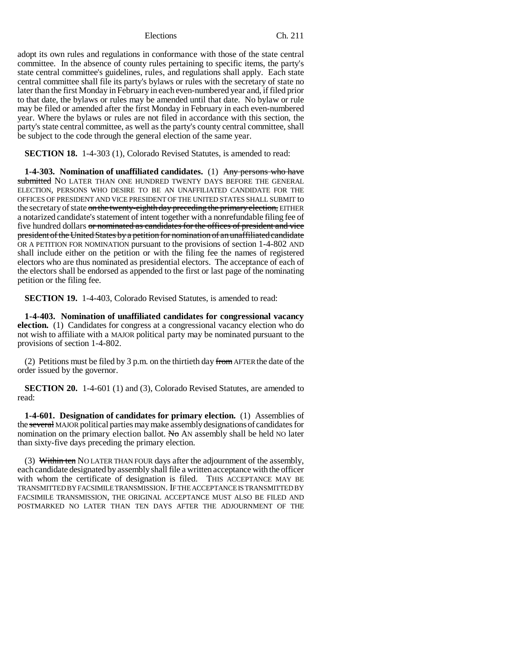adopt its own rules and regulations in conformance with those of the state central committee. In the absence of county rules pertaining to specific items, the party's state central committee's guidelines, rules, and regulations shall apply. Each state central committee shall file its party's bylaws or rules with the secretary of state no later than the first Monday in February in each even-numbered year and, if filed prior to that date, the bylaws or rules may be amended until that date. No bylaw or rule may be filed or amended after the first Monday in February in each even-numbered year. Where the bylaws or rules are not filed in accordance with this section, the party's state central committee, as well as the party's county central committee, shall be subject to the code through the general election of the same year.

**SECTION 18.** 1-4-303 (1), Colorado Revised Statutes, is amended to read:

**1-4-303. Nomination of unaffiliated candidates.** (1) Any persons who have submitted NO LATER THAN ONE HUNDRED TWENTY DAYS BEFORE THE GENERAL ELECTION, PERSONS WHO DESIRE TO BE AN UNAFFILIATED CANDIDATE FOR THE OFFICES OF PRESIDENT AND VICE PRESIDENT OF THE UNITED STATES SHALL SUBMIT to the secretary of state on the twenty-eighth day preceding the primary election, EITHER a notarized candidate's statement of intent together with a nonrefundable filing fee of five hundred dollars or nominated as candidates for the offices of president and vice president of the United States by a petition for nomination of an unaffiliated candidate OR A PETITION FOR NOMINATION pursuant to the provisions of section 1-4-802 AND shall include either on the petition or with the filing fee the names of registered electors who are thus nominated as presidential electors. The acceptance of each of the electors shall be endorsed as appended to the first or last page of the nominating petition or the filing fee.

**SECTION 19.** 1-4-403, Colorado Revised Statutes, is amended to read:

**1-4-403. Nomination of unaffiliated candidates for congressional vacancy election.** (1) Candidates for congress at a congressional vacancy election who do not wish to affiliate with a MAJOR political party may be nominated pursuant to the provisions of section 1-4-802.

(2) Petitions must be filed by 3 p.m. on the thirtieth day from AFTER the date of the order issued by the governor.

**SECTION 20.** 1-4-601 (1) and (3), Colorado Revised Statutes, are amended to read:

**1-4-601. Designation of candidates for primary election.** (1) Assemblies of the several MAJOR political parties may make assembly designations of candidates for nomination on the primary election ballot. No AN assembly shall be held NO later than sixty-five days preceding the primary election.

(3) Within ten NO LATER THAN FOUR days after the adjournment of the assembly, each candidate designated by assembly shall file a written acceptance with the officer with whom the certificate of designation is filed. THIS ACCEPTANCE MAY BE TRANSMITTED BY FACSIMILE TRANSMISSION. IF THE ACCEPTANCE IS TRANSMITTED BY FACSIMILE TRANSMISSION, THE ORIGINAL ACCEPTANCE MUST ALSO BE FILED AND POSTMARKED NO LATER THAN TEN DAYS AFTER THE ADJOURNMENT OF THE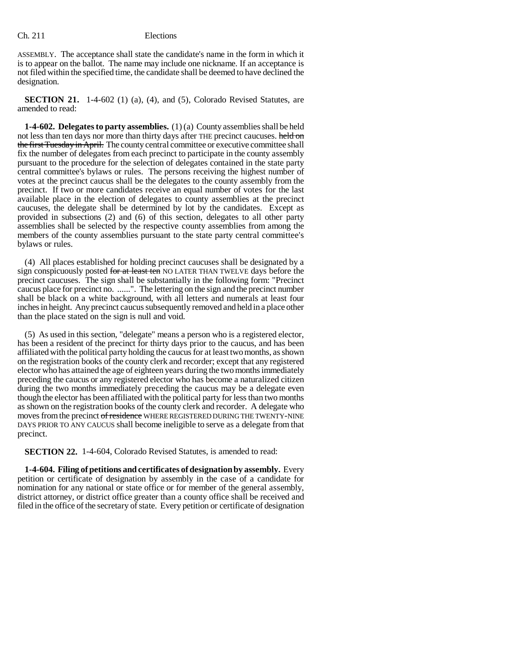ASSEMBLY. The acceptance shall state the candidate's name in the form in which it is to appear on the ballot. The name may include one nickname. If an acceptance is not filed within the specified time, the candidate shall be deemed to have declined the designation.

**SECTION 21.** 1-4-602 (1) (a), (4), and (5), Colorado Revised Statutes, are amended to read:

**1-4-602. Delegates to party assemblies.** (1) (a) County assemblies shall be held not less than ten days nor more than thirty days after THE precinct caucuses. held on the first Tuesday in April. The county central committee or executive committee shall fix the number of delegates from each precinct to participate in the county assembly pursuant to the procedure for the selection of delegates contained in the state party central committee's bylaws or rules. The persons receiving the highest number of votes at the precinct caucus shall be the delegates to the county assembly from the precinct. If two or more candidates receive an equal number of votes for the last available place in the election of delegates to county assemblies at the precinct caucuses, the delegate shall be determined by lot by the candidates. Except as provided in subsections (2) and (6) of this section, delegates to all other party assemblies shall be selected by the respective county assemblies from among the members of the county assemblies pursuant to the state party central committee's bylaws or rules.

(4) All places established for holding precinct caucuses shall be designated by a sign conspicuously posted for at least ten NO LATER THAN TWELVE days before the precinct caucuses. The sign shall be substantially in the following form: "Precinct caucus place for precinct no. ......". The lettering on the sign and the precinct number shall be black on a white background, with all letters and numerals at least four inches in height. Any precinct caucus subsequently removed and held in a place other than the place stated on the sign is null and void.

(5) As used in this section, "delegate" means a person who is a registered elector, has been a resident of the precinct for thirty days prior to the caucus, and has been affiliated with the political party holding the caucus for at least two months, as shown on the registration books of the county clerk and recorder; except that any registered elector who has attained the age of eighteen years during the two months immediately preceding the caucus or any registered elector who has become a naturalized citizen during the two months immediately preceding the caucus may be a delegate even though the elector has been affiliated with the political party for less than two months as shown on the registration books of the county clerk and recorder. A delegate who moves from the precinct of residence WHERE REGISTERED DURING THE TWENTY-NINE DAYS PRIOR TO ANY CAUCUS shall become ineligible to serve as a delegate from that precinct.

**SECTION 22.** 1-4-604, Colorado Revised Statutes, is amended to read:

**1-4-604. Filing of petitions and certificates of designation by assembly.** Every petition or certificate of designation by assembly in the case of a candidate for nomination for any national or state office or for member of the general assembly, district attorney, or district office greater than a county office shall be received and filed in the office of the secretary of state. Every petition or certificate of designation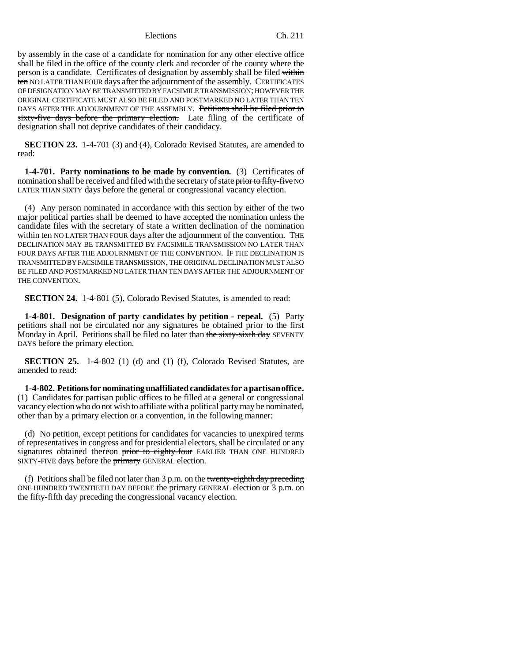by assembly in the case of a candidate for nomination for any other elective office shall be filed in the office of the county clerk and recorder of the county where the person is a candidate. Certificates of designation by assembly shall be filed within ten NO LATER THAN FOUR days after the adjournment of the assembly. CERTIFICATES OF DESIGNATION MAY BE TRANSMITTED BY FACSIMILE TRANSMISSION; HOWEVER THE ORIGINAL CERTIFICATE MUST ALSO BE FILED AND POSTMARKED NO LATER THAN TEN DAYS AFTER THE ADJOURNMENT OF THE ASSEMBLY. Petitions shall be filed prior to sixty-five days before the primary election. Late filing of the certificate of designation shall not deprive candidates of their candidacy.

**SECTION 23.** 1-4-701 (3) and (4), Colorado Revised Statutes, are amended to read:

**1-4-701. Party nominations to be made by convention.** (3) Certificates of nomination shall be received and filed with the secretary of state prior to fifty-five NO LATER THAN SIXTY days before the general or congressional vacancy election.

(4) Any person nominated in accordance with this section by either of the two major political parties shall be deemed to have accepted the nomination unless the candidate files with the secretary of state a written declination of the nomination within ten NO LATER THAN FOUR days after the adjournment of the convention. THE DECLINATION MAY BE TRANSMITTED BY FACSIMILE TRANSMISSION NO LATER THAN FOUR DAYS AFTER THE ADJOURNMENT OF THE CONVENTION. IF THE DECLINATION IS TRANSMITTED BY FACSIMILE TRANSMISSION, THE ORIGINAL DECLINATION MUST ALSO BE FILED AND POSTMARKED NO LATER THAN TEN DAYS AFTER THE ADJOURNMENT OF THE CONVENTION.

**SECTION 24.** 1-4-801 (5), Colorado Revised Statutes, is amended to read:

**1-4-801. Designation of party candidates by petition - repeal.** (5) Party petitions shall not be circulated nor any signatures be obtained prior to the first Monday in April. Petitions shall be filed no later than the sixty-sixth day SEVENTY DAYS before the primary election.

**SECTION 25.** 1-4-802 (1) (d) and (1) (f), Colorado Revised Statutes, are amended to read:

**1-4-802. Petitions for nominating unaffiliated candidates for a partisan office.** (1) Candidates for partisan public offices to be filled at a general or congressional vacancy election who do not wish to affiliate with a political party may be nominated, other than by a primary election or a convention, in the following manner:

(d) No petition, except petitions for candidates for vacancies to unexpired terms of representatives in congress and for presidential electors, shall be circulated or any signatures obtained thereon prior to eighty-four EARLIER THAN ONE HUNDRED SIXTY-FIVE days before the **primary** GENERAL election.

(f) Petitions shall be filed not later than  $3 p.m.$  on the twenty-eighth day preceding ONE HUNDRED TWENTIETH DAY BEFORE the  $\frac{p}{p}$  general election or 3 p.m. on the fifty-fifth day preceding the congressional vacancy election.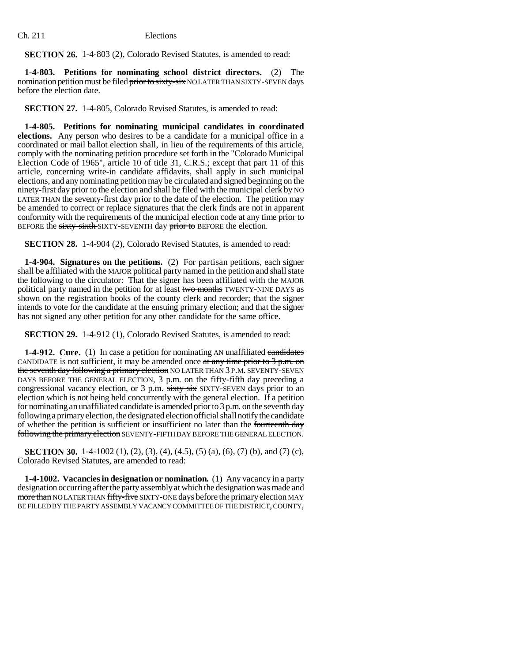**SECTION 26.** 1-4-803 (2), Colorado Revised Statutes, is amended to read:

**1-4-803. Petitions for nominating school district directors.** (2) The nomination petition must be filed prior to sixty-six NO LATER THAN SIXTY-SEVEN days before the election date.

**SECTION 27.** 1-4-805, Colorado Revised Statutes, is amended to read:

**1-4-805. Petitions for nominating municipal candidates in coordinated elections.** Any person who desires to be a candidate for a municipal office in a coordinated or mail ballot election shall, in lieu of the requirements of this article, comply with the nominating petition procedure set forth in the "Colorado Municipal Election Code of 1965", article 10 of title 31, C.R.S.; except that part 11 of this article, concerning write-in candidate affidavits, shall apply in such municipal elections, and any nominating petition may be circulated and signed beginning on the ninety-first day prior to the election and shall be filed with the municipal clerk  $\frac{1}{2}$  NO LATER THAN the seventy-first day prior to the date of the election. The petition may be amended to correct or replace signatures that the clerk finds are not in apparent conformity with the requirements of the municipal election code at any time prior to BEFORE the sixty-sixth SIXTY-SEVENTH day prior to BEFORE the election.

**SECTION 28.** 1-4-904 (2), Colorado Revised Statutes, is amended to read:

**1-4-904. Signatures on the petitions.** (2) For partisan petitions, each signer shall be affiliated with the MAJOR political party named in the petition and shall state the following to the circulator: That the signer has been affiliated with the MAJOR political party named in the petition for at least two months TWENTY-NINE DAYS as shown on the registration books of the county clerk and recorder; that the signer intends to vote for the candidate at the ensuing primary election; and that the signer has not signed any other petition for any other candidate for the same office.

**SECTION 29.** 1-4-912 (1), Colorado Revised Statutes, is amended to read:

**1-4-912. Cure.** (1) In case a petition for nominating AN unaffiliated candidates CANDIDATE is not sufficient, it may be amended once at any time prior to  $3$  p.m. on the seventh day following a primary election NO LATER THAN 3 P.M. SEVENTY-SEVEN DAYS BEFORE THE GENERAL ELECTION, 3 p.m. on the fifty-fifth day preceding a congressional vacancy election, or 3 p.m. sixty-six SIXTY-SEVEN days prior to an election which is not being held concurrently with the general election. If a petition for nominating an unaffiliated candidate is amended prior to 3 p.m. on the seventh day following a primary election, the designated election official shall notify the candidate of whether the petition is sufficient or insufficient no later than the fourteenth day following the primary election SEVENTY-FIFTH DAY BEFORE THE GENERAL ELECTION.

**SECTION 30.** 1-4-1002 (1), (2), (3), (4), (4.5), (5) (a), (6), (7) (b), and (7) (c), Colorado Revised Statutes, are amended to read:

**1-4-1002. Vacancies in designation or nomination.** (1) Any vacancy in a party designation occurring after the party assembly at which the designation was made and more than NO LATER THAN fifty-five SIXTY-ONE days before the primary election MAY BE FILLED BY THE PARTY ASSEMBLY VACANCY COMMITTEE OF THE DISTRICT, COUNTY,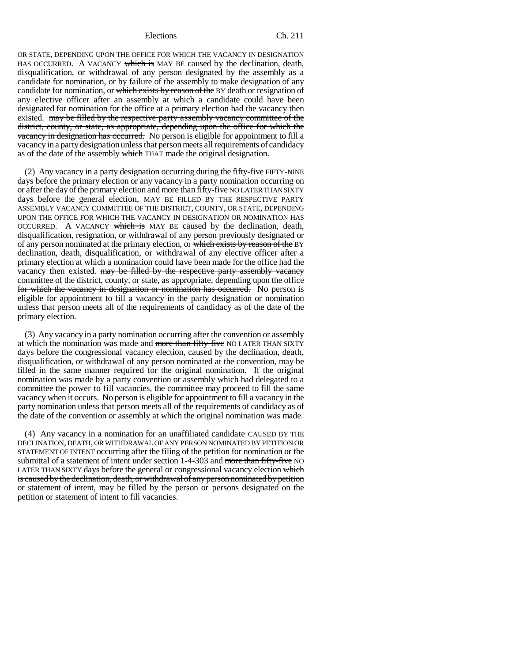OR STATE, DEPENDING UPON THE OFFICE FOR WHICH THE VACANCY IN DESIGNATION HAS OCCURRED. A VACANCY which is MAY BE caused by the declination, death, disqualification, or withdrawal of any person designated by the assembly as a candidate for nomination, or by failure of the assembly to make designation of any candidate for nomination, or which exists by reason of the BY death or resignation of any elective officer after an assembly at which a candidate could have been designated for nomination for the office at a primary election had the vacancy then existed. may be filled by the respective party assembly vacancy committee of the district, county, or state, as appropriate, depending upon the office for which the vacancy in designation has occurred. No person is eligible for appointment to fill a vacancy in a party designation unless that person meets all requirements of candidacy as of the date of the assembly which THAT made the original designation.

(2) Any vacancy in a party designation occurring during the  $f_{\text{H}}$   $f_{\text{H}}$   $f_{\text{H}}$   $f_{\text{H}}$   $f_{\text{H}}$   $f_{\text{H}}$   $f_{\text{H}}$   $f_{\text{H}}$   $f_{\text{H}}$   $f_{\text{H}}$   $f_{\text{H}}$   $f_{\text{H}}$   $f_{\text{H}}$   $f_{\text{H}}$   $f_{\text{H}}$   $f_{\text{H}}$  days before the primary election or any vacancy in a party nomination occurring on or after the day of the primary election and more than fifty-five NO LATER THAN SIXTY days before the general election, MAY BE FILLED BY THE RESPECTIVE PARTY ASSEMBLY VACANCY COMMITTEE OF THE DISTRICT, COUNTY, OR STATE, DEPENDING UPON THE OFFICE FOR WHICH THE VACANCY IN DESIGNATION OR NOMINATION HAS OCCURRED. A VACANCY which is MAY BE caused by the declination, death, disqualification, resignation, or withdrawal of any person previously designated or of any person nominated at the primary election, or which exists by reason of the BY declination, death, disqualification, or withdrawal of any elective officer after a primary election at which a nomination could have been made for the office had the vacancy then existed. may be filled by the respective party assembly vacancy committee of the district, county, or state, as appropriate, depending upon the office for which the vacancy in designation or nomination has occurred. No person is eligible for appointment to fill a vacancy in the party designation or nomination unless that person meets all of the requirements of candidacy as of the date of the primary election.

(3) Any vacancy in a party nomination occurring after the convention or assembly at which the nomination was made and more than fifty-five NO LATER THAN SIXTY days before the congressional vacancy election, caused by the declination, death, disqualification, or withdrawal of any person nominated at the convention, may be filled in the same manner required for the original nomination. If the original nomination was made by a party convention or assembly which had delegated to a committee the power to fill vacancies, the committee may proceed to fill the same vacancy when it occurs. No person is eligible for appointment to fill a vacancy in the party nomination unless that person meets all of the requirements of candidacy as of the date of the convention or assembly at which the original nomination was made.

(4) Any vacancy in a nomination for an unaffiliated candidate CAUSED BY THE DECLINATION, DEATH, OR WITHDRAWAL OF ANY PERSON NOMINATED BY PETITION OR STATEMENT OF INTENT occurring after the filing of the petition for nomination or the submittal of a statement of intent under section 1-4-303 and more than fifty-five NO LATER THAN SIXTY days before the general or congressional vacancy election which is caused by the declination, death, or withdrawal of any person nominated by petition or statement of intent, may be filled by the person or persons designated on the petition or statement of intent to fill vacancies.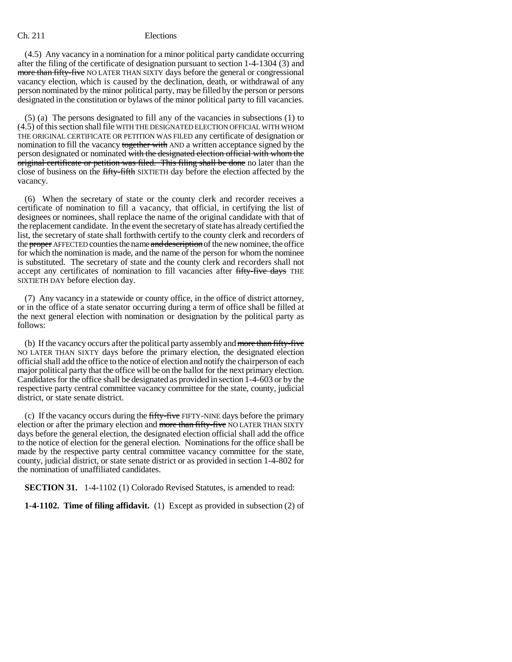(4.5) Any vacancy in a nomination for a minor political party candidate occurring after the filing of the certificate of designation pursuant to section 1-4-1304 (3) and more than fifty-five NO LATER THAN SIXTY days before the general or congressional vacancy election, which is caused by the declination, death, or withdrawal of any person nominated by the minor political party, may be filled by the person or persons designated in the constitution or bylaws of the minor political party to fill vacancies.

(5) (a) The persons designated to fill any of the vacancies in subsections (1) to (4.5) of this section shall file WITH THE DESIGNATED ELECTION OFFICIAL WITH WHOM THE ORIGINAL CERTIFICATE OR PETITION WAS FILED any certificate of designation or nomination to fill the vacancy together with AND a written acceptance signed by the person designated or nominated with the designated election official with whom the original certificate or petition was filed. This filing shall be done no later than the close of business on the fifty-fifth SIXTIETH day before the election affected by the vacancy.

(6) When the secretary of state or the county clerk and recorder receives a certificate of nomination to fill a vacancy, that official, in certifying the list of designees or nominees, shall replace the name of the original candidate with that of the replacement candidate. In the event the secretary of state has already certified the list, the secretary of state shall forthwith certify to the county clerk and recorders of the proper AFFECTED counties the name and description of the new nominee, the office for which the nomination is made, and the name of the person for whom the nominee is substituted. The secretary of state and the county clerk and recorders shall not accept any certificates of nomination to fill vacancies after fifty-five days THE SIXTIETH DAY before election day.

(7) Any vacancy in a statewide or county office, in the office of district attorney, or in the office of a state senator occurring during a term of office shall be filled at the next general election with nomination or designation by the political party as follows:

(b) If the vacancy occurs after the political party assembly and more than fifty-five NO LATER THAN SIXTY days before the primary election, the designated election official shall add the office to the notice of election and notify the chairperson of each major political party that the office will be on the ballot for the next primary election. Candidates for the office shall be designated as provided in section 1-4-603 or by the respective party central committee vacancy committee for the state, county, judicial district, or state senate district.

(c) If the vacancy occurs during the fifty-five FIFTY-NINE days before the primary election or after the primary election and more than fifty-five NO LATER THAN SIXTY days before the general election, the designated election official shall add the office to the notice of election for the general election. Nominations for the office shall be made by the respective party central committee vacancy committee for the state, county, judicial district, or state senate district or as provided in section 1-4-802 for the nomination of unaffiliated candidates.

**SECTION 31.** 1-4-1102 (1) Colorado Revised Statutes, is amended to read:

**1-4-1102. Time of filing affidavit.** (1) Except as provided in subsection (2) of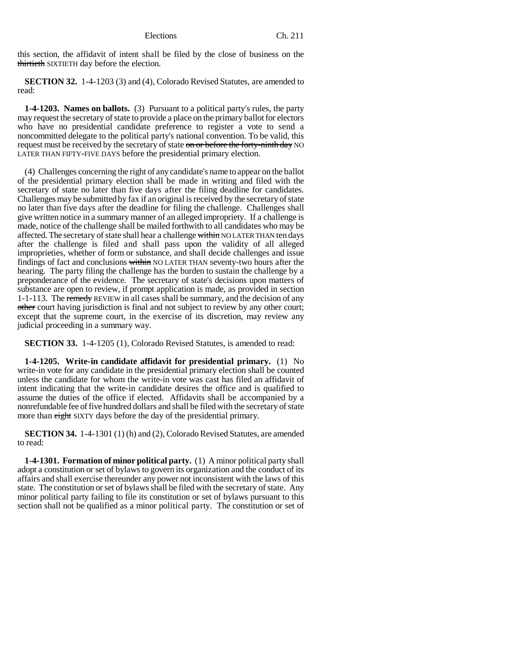this section, the affidavit of intent shall be filed by the close of business on the thirtieth SIXTIETH day before the election.

**SECTION 32.** 1-4-1203 (3) and (4), Colorado Revised Statutes, are amended to read:

**1-4-1203. Names on ballots.** (3) Pursuant to a political party's rules, the party may request the secretary of state to provide a place on the primary ballot for electors who have no presidential candidate preference to register a vote to send a noncommitted delegate to the political party's national convention. To be valid, this request must be received by the secretary of state on or before the forty-ninth day NO LATER THAN FIFTY-FIVE DAYS before the presidential primary election.

(4) Challenges concerning the right of any candidate's name to appear on the ballot of the presidential primary election shall be made in writing and filed with the secretary of state no later than five days after the filing deadline for candidates. Challenges may be submitted by fax if an original is received by the secretary of state no later than five days after the deadline for filing the challenge. Challenges shall give written notice in a summary manner of an alleged impropriety. If a challenge is made, notice of the challenge shall be mailed forthwith to all candidates who may be affected. The secretary of state shall hear a challenge within NO LATER THAN ten days after the challenge is filed and shall pass upon the validity of all alleged improprieties, whether of form or substance, and shall decide challenges and issue findings of fact and conclusions within NO LATER THAN seventy-two hours after the hearing. The party filing the challenge has the burden to sustain the challenge by a preponderance of the evidence. The secretary of state's decisions upon matters of substance are open to review, if prompt application is made, as provided in section 1-1-113. The remedy REVIEW in all cases shall be summary, and the decision of any other court having jurisdiction is final and not subject to review by any other court; except that the supreme court, in the exercise of its discretion, may review any judicial proceeding in a summary way.

**SECTION 33.** 1-4-1205 (1), Colorado Revised Statutes, is amended to read:

**1-4-1205. Write-in candidate affidavit for presidential primary.** (1) No write-in vote for any candidate in the presidential primary election shall be counted unless the candidate for whom the write-in vote was cast has filed an affidavit of intent indicating that the write-in candidate desires the office and is qualified to assume the duties of the office if elected. Affidavits shall be accompanied by a nonrefundable fee of five hundred dollars and shall be filed with the secretary of state more than eight SIXTY days before the day of the presidential primary.

**SECTION 34.** 1-4-1301 (1) (h) and (2), Colorado Revised Statutes, are amended to read:

**1-4-1301. Formation of minor political party.** (1) A minor political party shall adopt a constitution or set of bylaws to govern its organization and the conduct of its affairs and shall exercise thereunder any power not inconsistent with the laws of this state. The constitution or set of bylaws shall be filed with the secretary of state. Any minor political party failing to file its constitution or set of bylaws pursuant to this section shall not be qualified as a minor political party. The constitution or set of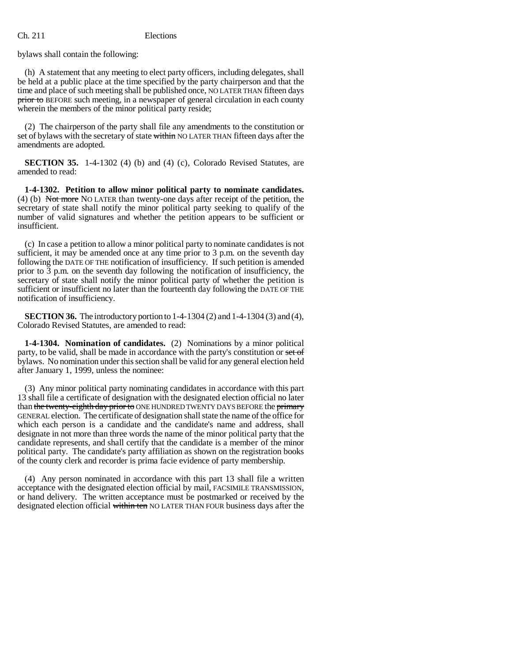bylaws shall contain the following:

(h) A statement that any meeting to elect party officers, including delegates, shall be held at a public place at the time specified by the party chairperson and that the time and place of such meeting shall be published once, NO LATER THAN fifteen days prior to BEFORE such meeting, in a newspaper of general circulation in each county wherein the members of the minor political party reside;

(2) The chairperson of the party shall file any amendments to the constitution or set of bylaws with the secretary of state within NO LATER THAN fifteen days after the amendments are adopted.

**SECTION 35.** 1-4-1302 (4) (b) and (4) (c), Colorado Revised Statutes, are amended to read:

**1-4-1302. Petition to allow minor political party to nominate candidates.** (4) (b) Not more NO LATER than twenty-one days after receipt of the petition, the secretary of state shall notify the minor political party seeking to qualify of the number of valid signatures and whether the petition appears to be sufficient or insufficient.

(c) In case a petition to allow a minor political party to nominate candidates is not sufficient, it may be amended once at any time prior to 3 p.m. on the seventh day following the DATE OF THE notification of insufficiency. If such petition is amended prior to 3 p.m. on the seventh day following the notification of insufficiency, the secretary of state shall notify the minor political party of whether the petition is sufficient or insufficient no later than the fourteenth day following the DATE OF THE notification of insufficiency.

**SECTION 36.** The introductory portion to 1-4-1304 (2) and 1-4-1304 (3) and (4), Colorado Revised Statutes, are amended to read:

**1-4-1304. Nomination of candidates.** (2) Nominations by a minor political party, to be valid, shall be made in accordance with the party's constitution or set of bylaws. No nomination under this section shall be valid for any general election held after January 1, 1999, unless the nominee:

(3) Any minor political party nominating candidates in accordance with this part 13 shall file a certificate of designation with the designated election official no later than the twenty-eighth day prior to ONE HUNDRED TWENTY DAYS BEFORE the primary GENERAL election. The certificate of designation shall state the name of the office for which each person is a candidate and the candidate's name and address, shall designate in not more than three words the name of the minor political party that the candidate represents, and shall certify that the candidate is a member of the minor political party. The candidate's party affiliation as shown on the registration books of the county clerk and recorder is prima facie evidence of party membership.

(4) Any person nominated in accordance with this part 13 shall file a written acceptance with the designated election official by mail, FACSIMILE TRANSMISSION, or hand delivery. The written acceptance must be postmarked or received by the designated election official within ten NO LATER THAN FOUR business days after the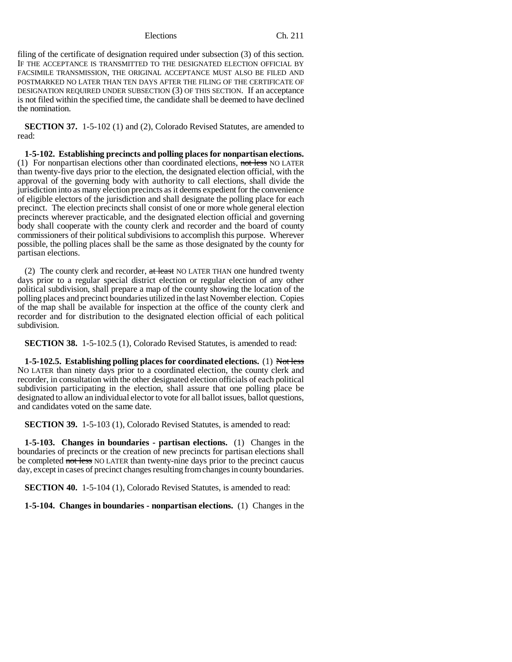filing of the certificate of designation required under subsection (3) of this section. IF THE ACCEPTANCE IS TRANSMITTED TO THE DESIGNATED ELECTION OFFICIAL BY FACSIMILE TRANSMISSION, THE ORIGINAL ACCEPTANCE MUST ALSO BE FILED AND POSTMARKED NO LATER THAN TEN DAYS AFTER THE FILING OF THE CERTIFICATE OF DESIGNATION REQUIRED UNDER SUBSECTION (3) OF THIS SECTION. If an acceptance is not filed within the specified time, the candidate shall be deemed to have declined the nomination.

**SECTION 37.** 1-5-102 (1) and (2), Colorado Revised Statutes, are amended to read:

**1-5-102. Establishing precincts and polling places for nonpartisan elections.** (1) For nonpartisan elections other than coordinated elections, not less NO LATER than twenty-five days prior to the election, the designated election official, with the approval of the governing body with authority to call elections, shall divide the jurisdiction into as many election precincts as it deems expedient for the convenience of eligible electors of the jurisdiction and shall designate the polling place for each precinct. The election precincts shall consist of one or more whole general election precincts wherever practicable, and the designated election official and governing body shall cooperate with the county clerk and recorder and the board of county commissioners of their political subdivisions to accomplish this purpose. Wherever possible, the polling places shall be the same as those designated by the county for partisan elections.

(2) The county clerk and recorder,  $at$  least NO LATER THAN one hundred twenty days prior to a regular special district election or regular election of any other political subdivision, shall prepare a map of the county showing the location of the polling places and precinct boundaries utilized in the last November election. Copies of the map shall be available for inspection at the office of the county clerk and recorder and for distribution to the designated election official of each political subdivision.

**SECTION 38.** 1-5-102.5 (1), Colorado Revised Statutes, is amended to read:

**1-5-102.5. Establishing polling places for coordinated elections.** (1) Not less NO LATER than ninety days prior to a coordinated election, the county clerk and recorder, in consultation with the other designated election officials of each political subdivision participating in the election, shall assure that one polling place be designated to allow an individual elector to vote for all ballot issues, ballot questions, and candidates voted on the same date.

**SECTION 39.** 1-5-103 (1), Colorado Revised Statutes, is amended to read:

**1-5-103. Changes in boundaries - partisan elections.** (1) Changes in the boundaries of precincts or the creation of new precincts for partisan elections shall be completed not less NO LATER than twenty-nine days prior to the precinct caucus day, except in cases of precinct changes resulting from changes in county boundaries.

**SECTION 40.** 1-5-104 (1), Colorado Revised Statutes, is amended to read:

**1-5-104. Changes in boundaries - nonpartisan elections.** (1) Changes in the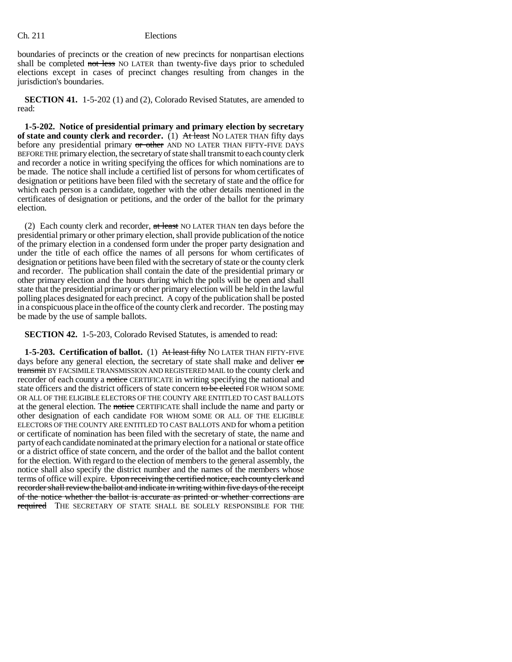boundaries of precincts or the creation of new precincts for nonpartisan elections shall be completed not less NO LATER than twenty-five days prior to scheduled elections except in cases of precinct changes resulting from changes in the jurisdiction's boundaries.

**SECTION 41.** 1-5-202 (1) and (2), Colorado Revised Statutes, are amended to read:

**1-5-202. Notice of presidential primary and primary election by secretary of state and county clerk and recorder.** (1) At least NO LATER THAN fifty days before any presidential primary or other AND NO LATER THAN FIFTY-FIVE DAYS BEFORE THE primary election, the secretary of state shall transmit to each county clerk and recorder a notice in writing specifying the offices for which nominations are to be made. The notice shall include a certified list of persons for whom certificates of designation or petitions have been filed with the secretary of state and the office for which each person is a candidate, together with the other details mentioned in the certificates of designation or petitions, and the order of the ballot for the primary election.

(2) Each county clerk and recorder, at least NO LATER THAN ten days before the presidential primary or other primary election, shall provide publication of the notice of the primary election in a condensed form under the proper party designation and under the title of each office the names of all persons for whom certificates of designation or petitions have been filed with the secretary of state or the county clerk and recorder. The publication shall contain the date of the presidential primary or other primary election and the hours during which the polls will be open and shall state that the presidential primary or other primary election will be held in the lawful polling places designated for each precinct. A copy of the publication shall be posted in a conspicuous place in the office of the county clerk and recorder. The posting may be made by the use of sample ballots.

**SECTION 42.** 1-5-203, Colorado Revised Statutes, is amended to read:

**1-5-203. Certification of ballot.** (1) At least fifty NO LATER THAN FIFTY-FIVE days before any general election, the secretary of state shall make and deliver or transmit BY FACSIMILE TRANSMISSION AND REGISTERED MAIL to the county clerk and recorder of each county a notice CERTIFICATE in writing specifying the national and state officers and the district officers of state concern to be elected FOR WHOM SOME OR ALL OF THE ELIGIBLE ELECTORS OF THE COUNTY ARE ENTITLED TO CAST BALLOTS at the general election. The notice CERTIFICATE shall include the name and party or other designation of each candidate FOR WHOM SOME OR ALL OF THE ELIGIBLE ELECTORS OF THE COUNTY ARE ENTITLED TO CAST BALLOTS AND for whom a petition or certificate of nomination has been filed with the secretary of state, the name and party of each candidate nominated at the primary election for a national or state office or a district office of state concern, and the order of the ballot and the ballot content for the election. With regard to the election of members to the general assembly, the notice shall also specify the district number and the names of the members whose terms of office will expire. Upon receiving the certified notice, each county clerk and recorder shall review the ballot and indicate in writing within five days of the receipt of the notice whether the ballot is accurate as printed or whether corrections are required THE SECRETARY OF STATE SHALL BE SOLELY RESPONSIBLE FOR THE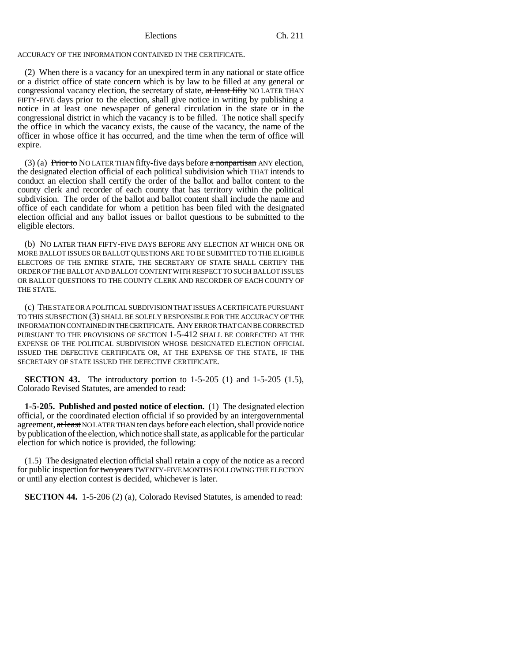ACCURACY OF THE INFORMATION CONTAINED IN THE CERTIFICATE.

(2) When there is a vacancy for an unexpired term in any national or state office or a district office of state concern which is by law to be filled at any general or congressional vacancy election, the secretary of state, at least fifty NO LATER THAN FIFTY-FIVE days prior to the election, shall give notice in writing by publishing a notice in at least one newspaper of general circulation in the state or in the congressional district in which the vacancy is to be filled. The notice shall specify the office in which the vacancy exists, the cause of the vacancy, the name of the officer in whose office it has occurred, and the time when the term of office will expire.

(3) (a) Prior to NO LATER THAN fifty-five days before a nonpartisan ANY election, the designated election official of each political subdivision which THAT intends to conduct an election shall certify the order of the ballot and ballot content to the county clerk and recorder of each county that has territory within the political subdivision. The order of the ballot and ballot content shall include the name and office of each candidate for whom a petition has been filed with the designated election official and any ballot issues or ballot questions to be submitted to the eligible electors.

(b) NO LATER THAN FIFTY-FIVE DAYS BEFORE ANY ELECTION AT WHICH ONE OR MORE BALLOT ISSUES OR BALLOT QUESTIONS ARE TO BE SUBMITTED TO THE ELIGIBLE ELECTORS OF THE ENTIRE STATE, THE SECRETARY OF STATE SHALL CERTIFY THE ORDER OF THE BALLOT AND BALLOT CONTENT WITH RESPECT TO SUCH BALLOT ISSUES OR BALLOT QUESTIONS TO THE COUNTY CLERK AND RECORDER OF EACH COUNTY OF THE STATE.

(c) THE STATE OR A POLITICAL SUBDIVISION THAT ISSUES A CERTIFICATE PURSUANT TO THIS SUBSECTION (3) SHALL BE SOLELY RESPONSIBLE FOR THE ACCURACY OF THE INFORMATION CONTAINED IN THE CERTIFICATE. ANY ERROR THAT CAN BE CORRECTED PURSUANT TO THE PROVISIONS OF SECTION 1-5-412 SHALL BE CORRECTED AT THE EXPENSE OF THE POLITICAL SUBDIVISION WHOSE DESIGNATED ELECTION OFFICIAL ISSUED THE DEFECTIVE CERTIFICATE OR, AT THE EXPENSE OF THE STATE, IF THE SECRETARY OF STATE ISSUED THE DEFECTIVE CERTIFICATE.

**SECTION 43.** The introductory portion to 1-5-205 (1) and 1-5-205 (1.5), Colorado Revised Statutes, are amended to read:

**1-5-205. Published and posted notice of election.** (1) The designated election official, or the coordinated election official if so provided by an intergovernmental agreement, at least NO LATER THAN ten days before each election, shall provide notice by publication of the election, which notice shall state, as applicable for the particular election for which notice is provided, the following:

(1.5) The designated election official shall retain a copy of the notice as a record for public inspection for two years TWENTY-FIVE MONTHS FOLLOWING THE ELECTION or until any election contest is decided, whichever is later.

**SECTION 44.** 1-5-206 (2) (a), Colorado Revised Statutes, is amended to read: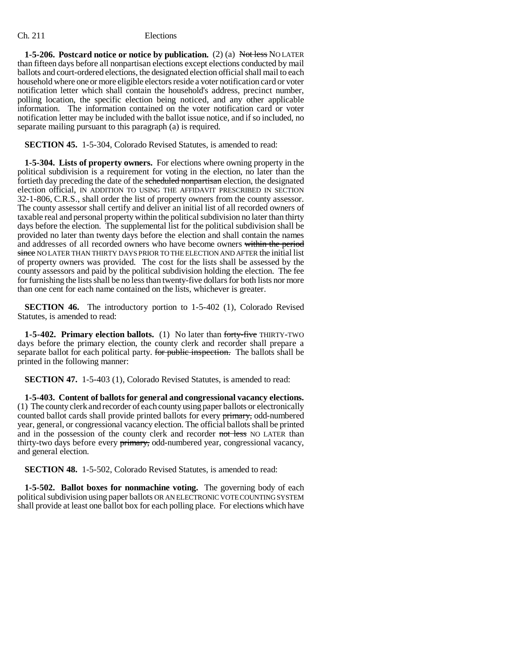**1-5-206. Postcard notice or notice by publication.** (2) (a) Not less NO LATER than fifteen days before all nonpartisan elections except elections conducted by mail ballots and court-ordered elections, the designated election official shall mail to each household where one or more eligible electors reside a voter notification card or voter notification letter which shall contain the household's address, precinct number, polling location, the specific election being noticed, and any other applicable information. The information contained on the voter notification card or voter notification letter may be included with the ballot issue notice, and if so included, no separate mailing pursuant to this paragraph (a) is required.

**SECTION 45.** 1-5-304, Colorado Revised Statutes, is amended to read:

**1-5-304. Lists of property owners.** For elections where owning property in the political subdivision is a requirement for voting in the election, no later than the fortieth day preceding the date of the scheduled nonpartisan election, the designated election official, IN ADDITION TO USING THE AFFIDAVIT PRESCRIBED IN SECTION 32-1-806, C.R.S., shall order the list of property owners from the county assessor. The county assessor shall certify and deliver an initial list of all recorded owners of taxable real and personal property within the political subdivision no later than thirty days before the election. The supplemental list for the political subdivision shall be provided no later than twenty days before the election and shall contain the names and addresses of all recorded owners who have become owners within the period since NO LATER THAN THIRTY DAYS PRIOR TO THE ELECTION AND AFTER the initial list of property owners was provided. The cost for the lists shall be assessed by the county assessors and paid by the political subdivision holding the election. The fee for furnishing the lists shall be no less than twenty-five dollars for both lists nor more than one cent for each name contained on the lists, whichever is greater.

**SECTION 46.** The introductory portion to 1-5-402 (1), Colorado Revised Statutes, is amended to read:

**1-5-402. Primary election ballots.** (1) No later than forty-five THIRTY-TWO days before the primary election, the county clerk and recorder shall prepare a separate ballot for each political party. For public inspection. The ballots shall be printed in the following manner:

**SECTION 47.** 1-5-403 (1), Colorado Revised Statutes, is amended to read:

**1-5-403. Content of ballots for general and congressional vacancy elections.** (1) The county clerk and recorder of each county using paper ballots or electronically counted ballot cards shall provide printed ballots for every primary, odd-numbered year, general, or congressional vacancy election. The official ballots shall be printed and in the possession of the county clerk and recorder not less NO LATER than thirty-two days before every primary, odd-numbered year, congressional vacancy, and general election.

**SECTION 48.** 1-5-502, Colorado Revised Statutes, is amended to read:

**1-5-502. Ballot boxes for nonmachine voting.** The governing body of each political subdivision using paper ballots OR AN ELECTRONIC VOTE COUNTING SYSTEM shall provide at least one ballot box for each polling place. For elections which have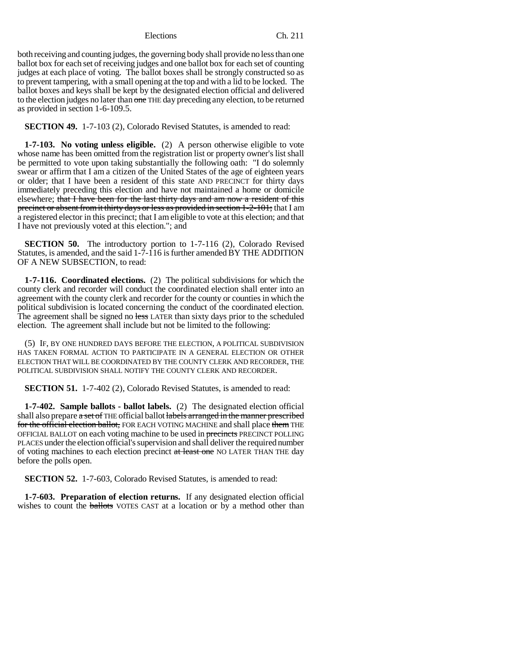both receiving and counting judges, the governing body shall provide no less than one ballot box for each set of receiving judges and one ballot box for each set of counting judges at each place of voting. The ballot boxes shall be strongly constructed so as to prevent tampering, with a small opening at the top and with a lid to be locked. The ballot boxes and keys shall be kept by the designated election official and delivered to the election judges no later than one THE day preceding any election, to be returned as provided in section 1-6-109.5.

**SECTION 49.** 1-7-103 (2), Colorado Revised Statutes, is amended to read:

**1-7-103. No voting unless eligible.** (2) A person otherwise eligible to vote whose name has been omitted from the registration list or property owner's list shall be permitted to vote upon taking substantially the following oath: "I do solemnly swear or affirm that I am a citizen of the United States of the age of eighteen years or older; that I have been a resident of this state AND PRECINCT for thirty days immediately preceding this election and have not maintained a home or domicile elsewhere; that I have been for the last thirty days and am now a resident of this precinct or absent from it thirty days or less as provided in section 1-2-101; that I am a registered elector in this precinct; that I am eligible to vote at this election; and that I have not previously voted at this election."; and

**SECTION 50.** The introductory portion to 1-7-116 (2), Colorado Revised Statutes, is amended, and the said 1-7-116 is further amended BY THE ADDITION OF A NEW SUBSECTION, to read:

**1-7-116. Coordinated elections.** (2) The political subdivisions for which the county clerk and recorder will conduct the coordinated election shall enter into an agreement with the county clerk and recorder for the county or counties in which the political subdivision is located concerning the conduct of the coordinated election. The agreement shall be signed no less LATER than sixty days prior to the scheduled election. The agreement shall include but not be limited to the following:

(5) IF, BY ONE HUNDRED DAYS BEFORE THE ELECTION, A POLITICAL SUBDIVISION HAS TAKEN FORMAL ACTION TO PARTICIPATE IN A GENERAL ELECTION OR OTHER ELECTION THAT WILL BE COORDINATED BY THE COUNTY CLERK AND RECORDER, THE POLITICAL SUBDIVISION SHALL NOTIFY THE COUNTY CLERK AND RECORDER.

**SECTION 51.** 1-7-402 (2), Colorado Revised Statutes, is amended to read:

**1-7-402. Sample ballots - ballot labels.** (2) The designated election official shall also prepare a set of THE official ballot labels arranged in the manner prescribed for the official election ballot, FOR EACH VOTING MACHINE and shall place them THE OFFICIAL BALLOT on each voting machine to be used in precincts PRECINCT POLLING PLACES under the election official's supervision and shall deliver the required number of voting machines to each election precinct at least one NO LATER THAN THE day before the polls open.

**SECTION 52.** 1-7-603, Colorado Revised Statutes, is amended to read:

**1-7-603. Preparation of election returns.** If any designated election official wishes to count the **ballots** VOTES CAST at a location or by a method other than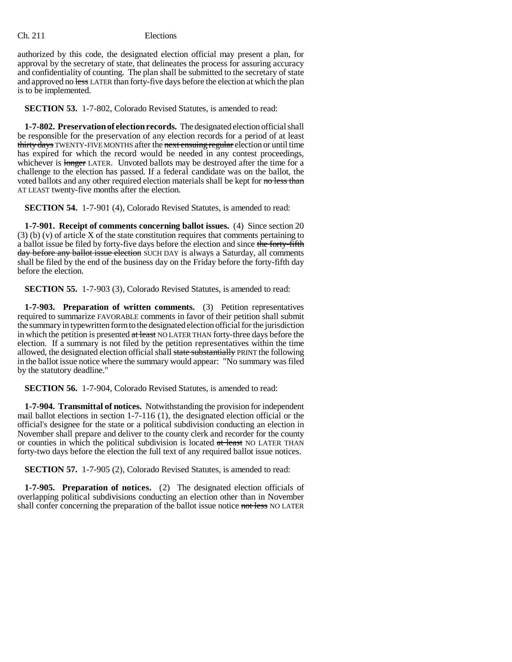authorized by this code, the designated election official may present a plan, for approval by the secretary of state, that delineates the process for assuring accuracy and confidentiality of counting. The plan shall be submitted to the secretary of state and approved no less LATER than forty-five days before the election at which the plan is to be implemented.

**SECTION 53.** 1-7-802, Colorado Revised Statutes, is amended to read:

**1-7-802. Preservation of election records.** The designated election official shall be responsible for the preservation of any election records for a period of at least thirty days TWENTY-FIVE MONTHS after the next ensuing regular election or until time has expired for which the record would be needed in any contest proceedings, whichever is longer LATER. Unvoted ballots may be destroyed after the time for a challenge to the election has passed. If a federal candidate was on the ballot, the voted ballots and any other required election materials shall be kept for no less than AT LEAST twenty-five months after the election.

**SECTION 54.** 1-7-901 (4), Colorado Revised Statutes, is amended to read:

**1-7-901. Receipt of comments concerning ballot issues.** (4) Since section 20 (3) (b) (v) of article X of the state constitution requires that comments pertaining to a ballot issue be filed by forty-five days before the election and since the forty-fifth day before any ballot issue election SUCH DAY is always a Saturday, all comments shall be filed by the end of the business day on the Friday before the forty-fifth day before the election.

**SECTION 55.** 1-7-903 (3), Colorado Revised Statutes, is amended to read:

**1-7-903. Preparation of written comments.** (3) Petition representatives required to summarize FAVORABLE comments in favor of their petition shall submit the summary in typewritten form to the designated election official for the jurisdiction in which the petition is presented at least NO LATER THAN forty-three days before the election. If a summary is not filed by the petition representatives within the time allowed, the designated election official shall state substantially PRINT the following in the ballot issue notice where the summary would appear: "No summary was filed by the statutory deadline."

**SECTION 56.** 1-7-904, Colorado Revised Statutes, is amended to read:

**1-7-904. Transmittal of notices.** Notwithstanding the provision for independent mail ballot elections in section 1-7-116 (1), the designated election official or the official's designee for the state or a political subdivision conducting an election in November shall prepare and deliver to the county clerk and recorder for the county or counties in which the political subdivision is located at least NO LATER THAN forty-two days before the election the full text of any required ballot issue notices.

**SECTION 57.** 1-7-905 (2), Colorado Revised Statutes, is amended to read:

**1-7-905. Preparation of notices.** (2) The designated election officials of overlapping political subdivisions conducting an election other than in November shall confer concerning the preparation of the ballot issue notice not less NO LATER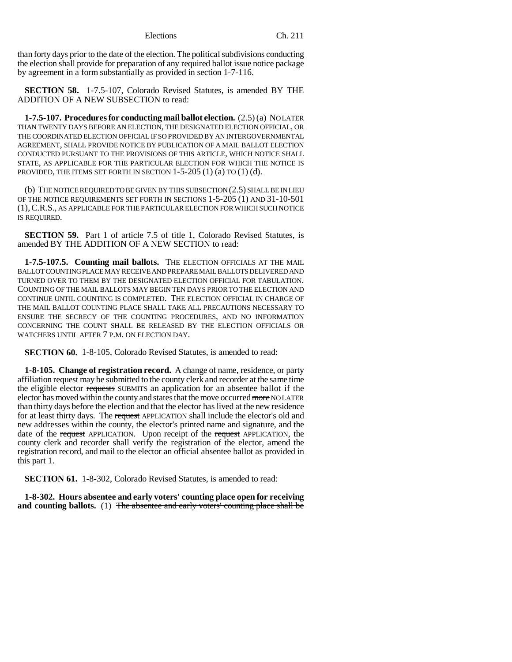than forty days prior to the date of the election. The political subdivisions conducting the election shall provide for preparation of any required ballot issue notice package by agreement in a form substantially as provided in section 1-7-116.

**SECTION 58.** 1-7.5-107, Colorado Revised Statutes, is amended BY THE ADDITION OF A NEW SUBSECTION to read:

**1-7.5-107. Procedures for conducting mail ballot election.** (2.5) (a) NO LATER THAN TWENTY DAYS BEFORE AN ELECTION, THE DESIGNATED ELECTION OFFICIAL, OR THE COORDINATED ELECTION OFFICIAL IF SO PROVIDED BY AN INTERGOVERNMENTAL AGREEMENT, SHALL PROVIDE NOTICE BY PUBLICATION OF A MAIL BALLOT ELECTION CONDUCTED PURSUANT TO THE PROVISIONS OF THIS ARTICLE, WHICH NOTICE SHALL STATE, AS APPLICABLE FOR THE PARTICULAR ELECTION FOR WHICH THE NOTICE IS PROVIDED, THE ITEMS SET FORTH IN SECTION  $1-5-205(1)(a)$  TO  $(1)(d)$ .

(b) THE NOTICE REQUIRED TO BE GIVEN BY THIS SUBSECTION (2.5) SHALL BE IN LIEU OF THE NOTICE REQUIREMENTS SET FORTH IN SECTIONS 1-5-205 (1) AND 31-10-501 (1),C.R.S., AS APPLICABLE FOR THE PARTICULAR ELECTION FOR WHICH SUCH NOTICE IS REQUIRED.

**SECTION 59.** Part 1 of article 7.5 of title 1, Colorado Revised Statutes, is amended BY THE ADDITION OF A NEW SECTION to read:

**1-7.5-107.5. Counting mail ballots.** THE ELECTION OFFICIALS AT THE MAIL BALLOT COUNTING PLACE MAY RECEIVE AND PREPARE MAIL BALLOTS DELIVERED AND TURNED OVER TO THEM BY THE DESIGNATED ELECTION OFFICIAL FOR TABULATION. COUNTING OF THE MAIL BALLOTS MAY BEGIN TEN DAYS PRIOR TO THE ELECTION AND CONTINUE UNTIL COUNTING IS COMPLETED. THE ELECTION OFFICIAL IN CHARGE OF THE MAIL BALLOT COUNTING PLACE SHALL TAKE ALL PRECAUTIONS NECESSARY TO ENSURE THE SECRECY OF THE COUNTING PROCEDURES, AND NO INFORMATION CONCERNING THE COUNT SHALL BE RELEASED BY THE ELECTION OFFICIALS OR WATCHERS UNTIL AFTER 7 P.M. ON ELECTION DAY.

**SECTION 60.** 1-8-105, Colorado Revised Statutes, is amended to read:

**1-8-105. Change of registration record.** A change of name, residence, or party affiliation request may be submitted to the county clerk and recorder at the same time the eligible elector requests SUBMITS an application for an absentee ballot if the elector has moved within the county and states that the move occurred more NO LATER than thirty days before the election and that the elector has lived at the new residence for at least thirty days. The request APPLICATION shall include the elector's old and new addresses within the county, the elector's printed name and signature, and the date of the request APPLICATION. Upon receipt of the request APPLICATION, the county clerk and recorder shall verify the registration of the elector, amend the registration record, and mail to the elector an official absentee ballot as provided in this part 1.

**SECTION 61.** 1-8-302, Colorado Revised Statutes, is amended to read:

**1-8-302. Hours absentee and early voters' counting place open for receiving and counting ballots.** (1) The absentee and early voters' counting place shall be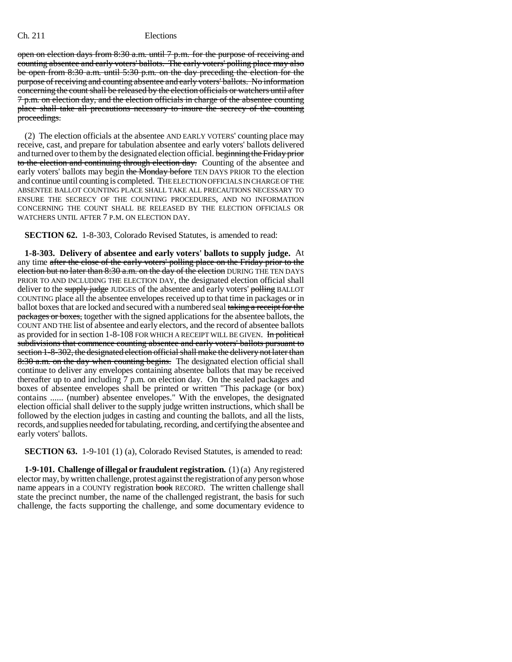open on election days from 8:30 a.m. until 7 p.m. for the purpose of receiving and counting absentee and early voters' ballots. The early voters' polling place may also be open from 8:30 a.m. until 5:30 p.m. on the day preceding the election for the purpose of receiving and counting absentee and early voters' ballots. No information concerning the count shall be released by the election officials or watchers until after 7 p.m. on election day, and the election officials in charge of the absentee counting place shall take all precautions necessary to insure the secrecy of the counting proceedings.

(2) The election officials at the absentee AND EARLY VOTERS' counting place may receive, cast, and prepare for tabulation absentee and early voters' ballots delivered and turned over to them by the designated election official. beginning the Friday prior to the election and continuing through election day. Counting of the absentee and early voters' ballots may begin the Monday before TEN DAYS PRIOR TO the election and continue until counting is completed. THE ELECTION OFFICIALS IN CHARGE OF THE ABSENTEE BALLOT COUNTING PLACE SHALL TAKE ALL PRECAUTIONS NECESSARY TO ENSURE THE SECRECY OF THE COUNTING PROCEDURES, AND NO INFORMATION CONCERNING THE COUNT SHALL BE RELEASED BY THE ELECTION OFFICIALS OR WATCHERS UNTIL AFTER 7 P.M. ON ELECTION DAY.

**SECTION 62.** 1-8-303, Colorado Revised Statutes, is amended to read:

**1-8-303. Delivery of absentee and early voters' ballots to supply judge.** At any time after the close of the early voters' polling place on the Friday prior to the election but no later than  $8:30$  a.m. on the day of the election DURING THE TEN DAYS PRIOR TO AND INCLUDING THE ELECTION DAY, the designated election official shall deliver to the supply judge JUDGES of the absentee and early voters' polling BALLOT COUNTING place all the absentee envelopes received up to that time in packages or in ballot boxes that are locked and secured with a numbered seal taking a receipt for the packages or boxes, together with the signed applications for the absentee ballots, the COUNT AND THE list of absentee and early electors, and the record of absentee ballots as provided for in section 1-8-108 FOR WHICH A RECEIPT WILL BE GIVEN. In political subdivisions that commence counting absentee and early voters' ballots pursuant to section 1-8-302, the designated election official shall make the delivery not later than 8:30 a.m. on the day when counting begins. The designated election official shall continue to deliver any envelopes containing absentee ballots that may be received thereafter up to and including 7 p.m. on election day. On the sealed packages and boxes of absentee envelopes shall be printed or written "This package (or box) contains ...... (number) absentee envelopes." With the envelopes, the designated election official shall deliver to the supply judge written instructions, which shall be followed by the election judges in casting and counting the ballots, and all the lists, records, and supplies needed for tabulating, recording, and certifying the absentee and early voters' ballots.

**SECTION 63.** 1-9-101 (1) (a), Colorado Revised Statutes, is amended to read:

**1-9-101. Challenge of illegal or fraudulent registration.** (1) (a) Any registered elector may, by written challenge, protest against the registration of any person whose name appears in a COUNTY registration book RECORD. The written challenge shall state the precinct number, the name of the challenged registrant, the basis for such challenge, the facts supporting the challenge, and some documentary evidence to